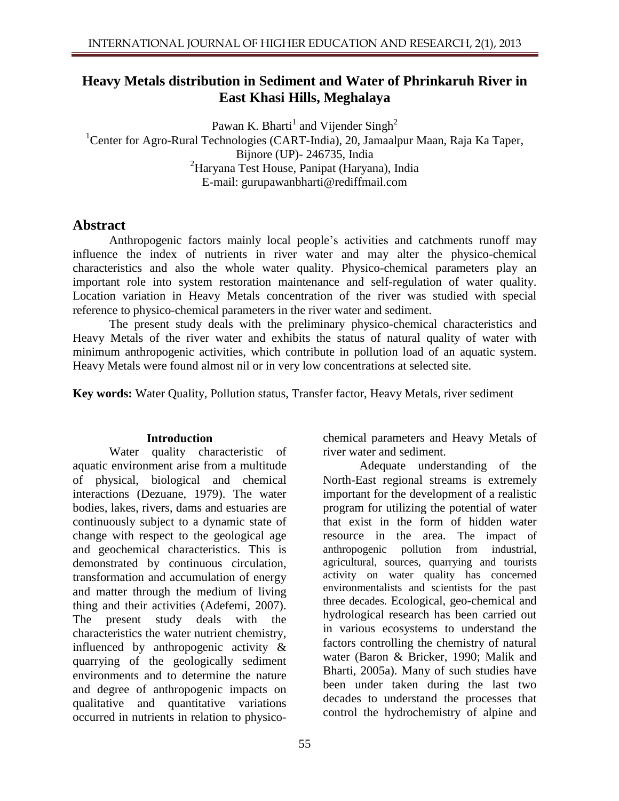# **Heavy Metals distribution in Sediment and Water of Phrinkaruh River in East Khasi Hills, Meghalaya**

Pawan K. Bharti<sup>1</sup> and Vijender Singh<sup>2</sup> <sup>1</sup> Center for Agro-Rural Technologies (CART-India), 20, Jamaalpur Maan, Raja Ka Taper, Bijnore (UP)- 246735, India <sup>2</sup>Haryana Test House, Panipat (Haryana), India E-mail: [gurupawanbharti@rediffmail.com](mailto:gurupawanbharti@rediffmail.com)

## **Abstract**

Anthropogenic factors mainly local people's activities and catchments runoff may influence the index of nutrients in river water and may alter the physico-chemical characteristics and also the whole water quality. Physico-chemical parameters play an important role into system restoration maintenance and self-regulation of water quality. Location variation in Heavy Metals concentration of the river was studied with special reference to physico-chemical parameters in the river water and sediment.

The present study deals with the preliminary physico-chemical characteristics and Heavy Metals of the river water and exhibits the status of natural quality of water with minimum anthropogenic activities, which contribute in pollution load of an aquatic system. Heavy Metals were found almost nil or in very low concentrations at selected site.

**Key words:** Water Quality, Pollution status, Transfer factor, Heavy Metals, river sediment

### **Introduction**

Water quality characteristic of aquatic environment arise from a multitude of physical, biological and chemical interactions (Dezuane, 1979). The water bodies, lakes, rivers, dams and estuaries are continuously subject to a dynamic state of change with respect to the geological age and geochemical characteristics. This is demonstrated by continuous circulation, transformation and accumulation of energy and matter through the medium of living thing and their activities (Adefemi, 2007). The present study deals with the characteristics the water nutrient chemistry, influenced by anthropogenic activity & quarrying of the geologically sediment environments and to determine the nature and degree of anthropogenic impacts on qualitative and quantitative variations occurred in nutrients in relation to physico-

55

chemical parameters and Heavy Metals of river water and sediment.

Adequate understanding of the North-East regional streams is extremely important for the development of a realistic program for utilizing the potential of water that exist in the form of hidden water resource in the area. The impact of anthropogenic pollution from industrial, agricultural, sources, quarrying and tourists activity on water quality has concerned environmentalists and scientists for the past three decades. Ecological, geo-chemical and hydrological research has been carried out in various ecosystems to understand the factors controlling the chemistry of natural water (Baron & Bricker, 1990; Malik and Bharti, 2005a). Many of such studies have been under taken during the last two decades to understand the processes that control the hydrochemistry of alpine and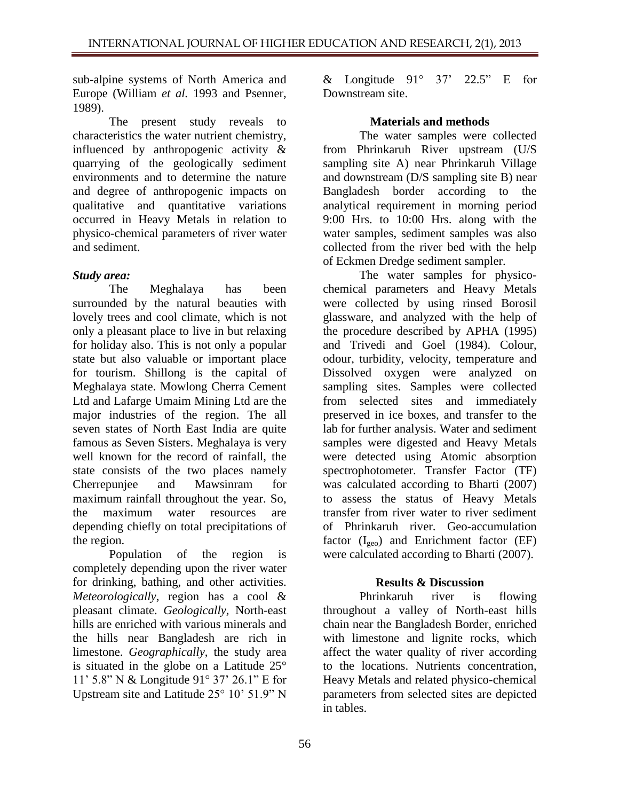sub-alpine systems of North America and Europe (William *et al.* 1993 and Psenner, 1989).

The present study reveals to characteristics the water nutrient chemistry, influenced by anthropogenic activity & quarrying of the geologically sediment environments and to determine the nature and degree of anthropogenic impacts on qualitative and quantitative variations occurred in Heavy Metals in relation to physico-chemical parameters of river water and sediment.

## *Study area:*

The Meghalaya has been surrounded by the natural beauties with lovely trees and cool climate, which is not only a pleasant place to live in but relaxing for holiday also. This is not only a popular state but also valuable or important place for tourism. Shillong is the capital of Meghalaya state. Mowlong Cherra Cement Ltd and Lafarge Umaim Mining Ltd are the major industries of the region. The all seven states of North East India are quite famous as Seven Sisters. Meghalaya is very well known for the record of rainfall, the state consists of the two places namely Cherrepunjee and Mawsinram for maximum rainfall throughout the year. So, the maximum water resources are depending chiefly on total precipitations of the region.

Population of the region is completely depending upon the river water for drinking, bathing, and other activities. *Meteorologically*, region has a cool & pleasant climate. *Geologically,* North-east hills are enriched with various minerals and the hills near Bangladesh are rich in limestone. *Geographically*, the study area is situated in the globe on a Latitude 25° 11' 5.8" N & Longitude 91° 37' 26.1" E for Upstream site and Latitude 25° 10' 51.9" N & Longitude  $91^\circ$   $37'$   $22.5''$  E for Downstream site.

### **Materials and methods**

The water samples were collected from Phrinkaruh River upstream (U/S sampling site A) near Phrinkaruh Village and downstream (D/S sampling site B) near Bangladesh border according to the analytical requirement in morning period 9:00 Hrs. to 10:00 Hrs. along with the water samples, sediment samples was also collected from the river bed with the help of Eckmen Dredge sediment sampler.

The water samples for physicochemical parameters and Heavy Metals were collected by using rinsed Borosil glassware, and analyzed with the help of the procedure described by APHA (1995) and Trivedi and Goel (1984). Colour, odour, turbidity, velocity, temperature and Dissolved oxygen were analyzed on sampling sites. Samples were collected from selected sites and immediately preserved in ice boxes, and transfer to the lab for further analysis. Water and sediment samples were digested and Heavy Metals were detected using Atomic absorption spectrophotometer. Transfer Factor (TF) was calculated according to Bharti (2007) to assess the status of Heavy Metals transfer from river water to river sediment of Phrinkaruh river. Geo-accumulation factor  $(I_{geo})$  and Enrichment factor (EF) were calculated according to Bharti (2007).

### **Results & Discussion**

Phrinkaruh river is flowing throughout a valley of North-east hills chain near the Bangladesh Border, enriched with limestone and lignite rocks, which affect the water quality of river according to the locations. Nutrients concentration, Heavy Metals and related physico-chemical parameters from selected sites are depicted in tables.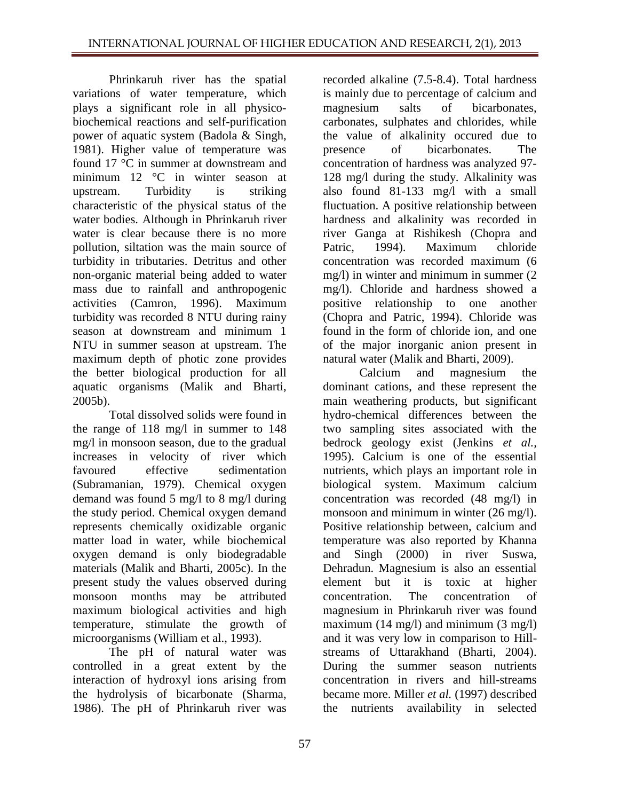Phrinkaruh river has the spatial variations of water temperature, which plays a significant role in all physicobiochemical reactions and self-purification power of aquatic system (Badola & Singh, 1981). Higher value of temperature was found 17 °C in summer at downstream and minimum 12 °C in winter season at upstream. Turbidity is striking characteristic of the physical status of the water bodies. Although in Phrinkaruh river water is clear because there is no more pollution, siltation was the main source of turbidity in tributaries. Detritus and other non-organic material being added to water mass due to rainfall and anthropogenic activities (Camron, 1996). Maximum turbidity was recorded 8 NTU during rainy season at downstream and minimum 1 NTU in summer season at upstream. The maximum depth of photic zone provides the better biological production for all aquatic organisms (Malik and Bharti, 2005b).

Total dissolved solids were found in the range of 118 mg/l in summer to 148 mg/l in monsoon season, due to the gradual increases in velocity of river which favoured effective sedimentation (Subramanian, 1979). Chemical oxygen demand was found 5 mg/l to 8 mg/l during the study period. Chemical oxygen demand represents chemically oxidizable organic matter load in water, while biochemical oxygen demand is only biodegradable materials (Malik and Bharti, 2005c). In the present study the values observed during monsoon months may be attributed maximum biological activities and high temperature, stimulate the growth of microorganisms (William et al., 1993).

The pH of natural water was controlled in a great extent by the interaction of hydroxyl ions arising from the hydrolysis of bicarbonate (Sharma, 1986). The pH of Phrinkaruh river was

recorded alkaline (7.5-8.4). Total hardness is mainly due to percentage of calcium and magnesium salts of bicarbonates, carbonates, sulphates and chlorides, while the value of alkalinity occured due to presence of bicarbonates. The concentration of hardness was analyzed 97- 128 mg/l during the study. Alkalinity was also found 81-133 mg/l with a small fluctuation. A positive relationship between hardness and alkalinity was recorded in river Ganga at Rishikesh (Chopra and Patric, 1994). Maximum chloride concentration was recorded maximum (6 mg/l) in winter and minimum in summer (2 mg/l). Chloride and hardness showed a positive relationship to one another (Chopra and Patric, 1994). Chloride was found in the form of chloride ion, and one of the major inorganic anion present in natural water (Malik and Bharti, 2009).

Calcium and magnesium the dominant cations, and these represent the main weathering products, but significant hydro-chemical differences between the two sampling sites associated with the bedrock geology exist (Jenkins *et al.,* 1995). Calcium is one of the essential nutrients, which plays an important role in biological system. Maximum calcium concentration was recorded (48 mg/l) in monsoon and minimum in winter (26 mg/l). Positive relationship between, calcium and temperature was also reported by Khanna and Singh (2000) in river Suswa, Dehradun. Magnesium is also an essential element but it is toxic at higher concentration. The concentration of magnesium in Phrinkaruh river was found maximum (14 mg/l) and minimum (3 mg/l) and it was very low in comparison to Hillstreams of Uttarakhand (Bharti, 2004). During the summer season nutrients concentration in rivers and hill-streams became more. Miller *et al.* (1997) described the nutrients availability in selected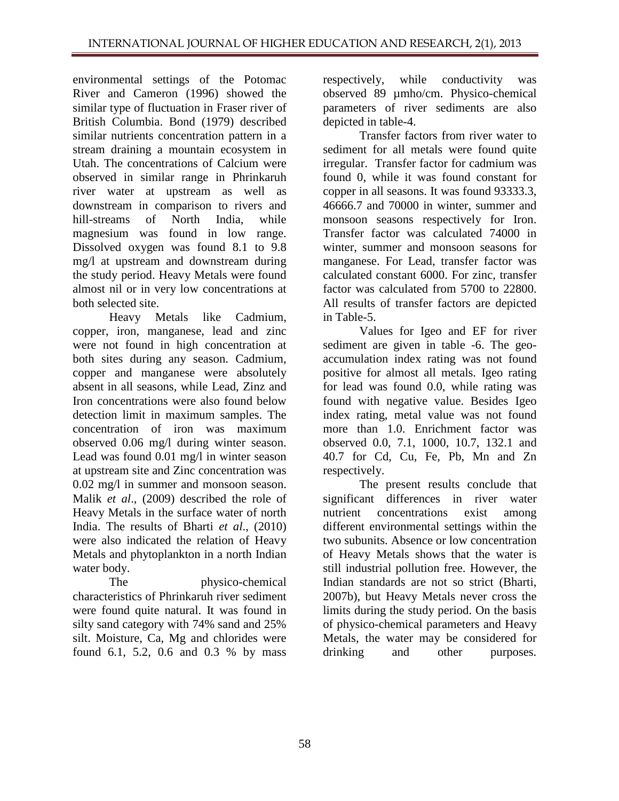environmental settings of the Potomac River and Cameron (1996) showed the similar type of fluctuation in Fraser river of British Columbia. Bond (1979) described similar nutrients concentration pattern in a stream draining a mountain ecosystem in Utah. The concentrations of Calcium were observed in similar range in Phrinkaruh river water at upstream as well as downstream in comparison to rivers and hill-streams of North India, while magnesium was found in low range. Dissolved oxygen was found 8.1 to 9.8 mg/l at upstream and downstream during the study period. Heavy Metals were found almost nil or in very low concentrations at both selected site.

Heavy Metals like Cadmium, copper, iron, manganese, lead and zinc were not found in high concentration at both sites during any season. Cadmium, copper and manganese were absolutely absent in all seasons, while Lead, Zinz and Iron concentrations were also found below detection limit in maximum samples. The concentration of iron was maximum observed 0.06 mg/l during winter season. Lead was found 0.01 mg/l in winter season at upstream site and Zinc concentration was 0.02 mg/l in summer and monsoon season. Malik *et al*., (2009) described the role of Heavy Metals in the surface water of north India. The results of Bharti *et al*., (2010) were also indicated the relation of Heavy Metals and phytoplankton in a north Indian water body.

The physico-chemical characteristics of Phrinkaruh river sediment were found quite natural. It was found in silty sand category with 74% sand and 25% silt. Moisture, Ca, Mg and chlorides were found 6.1, 5.2, 0.6 and 0.3 % by mass respectively, while conductivity was observed 89 µmho/cm. Physico-chemical parameters of river sediments are also depicted in table-4.

Transfer factors from river water to sediment for all metals were found quite irregular. Transfer factor for cadmium was found 0, while it was found constant for copper in all seasons. It was found 93333.3, 46666.7 and 70000 in winter, summer and monsoon seasons respectively for Iron. Transfer factor was calculated 74000 in winter, summer and monsoon seasons for manganese. For Lead, transfer factor was calculated constant 6000. For zinc, transfer factor was calculated from 5700 to 22800. All results of transfer factors are depicted in Table-5.

Values for Igeo and EF for river sediment are given in table -6. The geoaccumulation index rating was not found positive for almost all metals. Igeo rating for lead was found 0.0, while rating was found with negative value. Besides Igeo index rating, metal value was not found more than 1.0. Enrichment factor was observed 0.0, 7.1, 1000, 10.7, 132.1 and 40.7 for Cd, Cu, Fe, Pb, Mn and Zn respectively.

The present results conclude that significant differences in river water nutrient concentrations exist among different environmental settings within the two subunits. Absence or low concentration of Heavy Metals shows that the water is still industrial pollution free. However, the Indian standards are not so strict (Bharti, 2007b), but Heavy Metals never cross the limits during the study period. On the basis of physico-chemical parameters and Heavy Metals, the water may be considered for drinking and other purposes.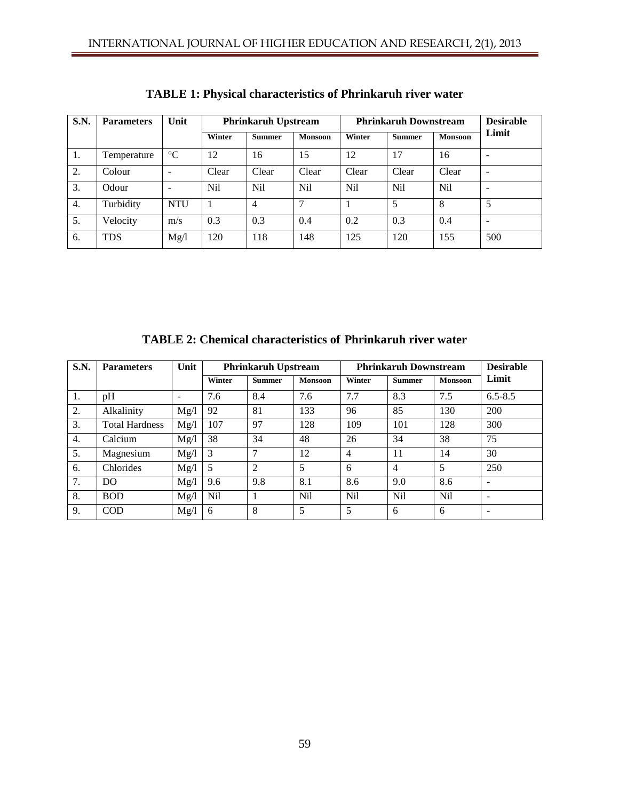| S.N. | <b>Parameters</b> | Unit                     | <b>Phrinkaruh Upstream</b> |               | <b>Phrinkaruh Downstream</b> |                 |               | <b>Desirable</b> |                              |
|------|-------------------|--------------------------|----------------------------|---------------|------------------------------|-----------------|---------------|------------------|------------------------------|
|      |                   |                          | Winter                     | <b>Summer</b> | <b>Monsoon</b>               | Winter          | <b>Summer</b> | <b>Monsoon</b>   | Limit                        |
| 1.   | Temperature       | $\rm ^{\circ}C$          | 12                         | 16            | 15                           | 12              | 17            | 16               |                              |
| 2.   | Colour            | $\overline{\phantom{a}}$ | Clear                      | Clear         | Clear                        | Clear           | Clear         | Clear            | $\overline{\phantom{a}}$     |
| 3.   | Odour             | $\overline{\phantom{a}}$ | Nil                        | Nil           | N <sub>i</sub>               | N <sub>il</sub> | Nil           | N <sub>i</sub> l | ۰                            |
| 4.   | Turbidity         | <b>NTU</b>               |                            | 4             | ⇁                            |                 | 5             | 8                | 5                            |
| 5.   | Velocity          | m/s                      | 0.3                        | 0.3           | 0.4                          | 0.2             | 0.3           | 0.4              | $\qquad \qquad \blacksquare$ |
| 6.   | <b>TDS</b>        | Mg/l                     | 120                        | 118           | 148                          | 125             | 120           | 155              | 500                          |

**TABLE 1: Physical characteristics of Phrinkaruh river water**

**TABLE 2: Chemical characteristics of Phrinkaruh river water**

| <b>S.N.</b> | <b>Parameters</b>     | Unit | <b>Phrinkaruh Upstream</b> |               |                 | <b>Phrinkaruh Downstream</b> |                 |                | <b>Desirable</b>         |
|-------------|-----------------------|------|----------------------------|---------------|-----------------|------------------------------|-----------------|----------------|--------------------------|
|             |                       |      | Winter                     | <b>Summer</b> | <b>Monsoon</b>  | Winter                       | <b>Summer</b>   | <b>Monsoon</b> | Limit                    |
| 1.          | pH                    |      | 7.6                        | 8.4           | 7.6             | 7.7                          | 8.3             | 7.5            | $6.5 - 8.5$              |
| 2.          | Alkalinity            | Mg/l | 92                         | 81            | 133             | 96                           | 85              | 130            | 200                      |
| 3.          | <b>Total Hardness</b> | Mg/l | 107                        | 97            | 128             | 109                          | 101             | 128            | 300                      |
| 4.          | Calcium               | Mg/l | 38                         | 34            | 48              | 26                           | 34              | 38             | 75                       |
| 5.          | Magnesium             | Mg/l | 3                          | 7             | 12              | $\overline{4}$               | 11              | 14             | 30                       |
| 6.          | Chlorides             | Mg/l | 5                          | 2             | 5               | 6                            | 4               | 5              | 250                      |
| 7.          | DO                    | Mg/l | 9.6                        | 9.8           | 8.1             | 8.6                          | 9.0             | 8.6            | $\overline{\phantom{0}}$ |
| 8.          | <b>BOD</b>            | Mg/l | Nil                        |               | N <sub>il</sub> | Nil                          | N <sub>il</sub> | N <sub>i</sub> | $\overline{\phantom{0}}$ |
| 9.          | <b>COD</b>            | Mg/l | 6                          | 8             | 5               | 5                            | 6               | 6              | $\overline{\phantom{0}}$ |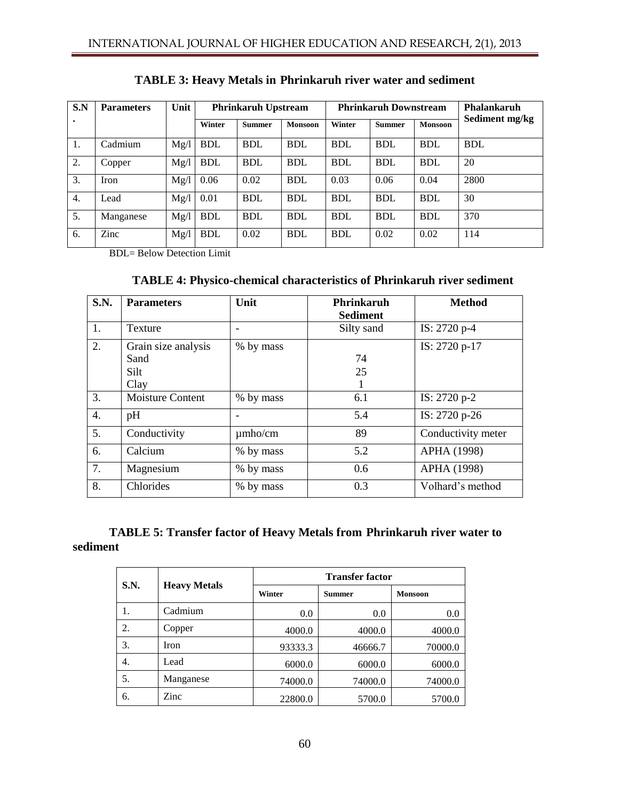| S.N | <b>Parameters</b> | Unit | <b>Phrinkaruh Upstream</b> |               |                | <b>Phrinkaruh Downstream</b> |               |                | <b>Phalankaruh</b> |
|-----|-------------------|------|----------------------------|---------------|----------------|------------------------------|---------------|----------------|--------------------|
| ٠   |                   |      | Winter                     | <b>Summer</b> | <b>Monsoon</b> | Winter                       | <b>Summer</b> | <b>Monsoon</b> | Sediment mg/kg     |
| 1.  | Cadmium           | Mg/l | <b>BDL</b>                 | <b>BDL</b>    | <b>BDL</b>     | <b>BDL</b>                   | <b>BDL</b>    | <b>BDL</b>     | <b>BDL</b>         |
| 2.  | Copper            | Mg/l | <b>BDL</b>                 | <b>BDL</b>    | <b>BDL</b>     | <b>BDL</b>                   | <b>BDL</b>    | <b>BDL</b>     | 20                 |
| 3.  | Iron              | Mg/l | 0.06                       | 0.02          | <b>BDL</b>     | 0.03                         | 0.06          | 0.04           | 2800               |
| 4.  | Lead              | Mg/l | 0.01                       | <b>BDL</b>    | <b>BDL</b>     | <b>BDL</b>                   | <b>BDL</b>    | <b>BDL</b>     | 30                 |
| 5.  | Manganese         | Mg/l | <b>BDL</b>                 | <b>BDL</b>    | <b>BDL</b>     | <b>BDL</b>                   | <b>BDL</b>    | <b>BDL</b>     | 370                |
| 6.  | Zinc              | Mg/l | <b>BDL</b>                 | 0.02          | <b>BDL</b>     | <b>BDL</b>                   | 0.02          | 0.02           | 114                |

**TABLE 3: Heavy Metals in Phrinkaruh river water and sediment** 

BDL= Below Detection Limit

| S.N. | <b>Parameters</b>                           | Unit         | <b>Phrinkaruh</b><br><b>Sediment</b> | <b>Method</b>      |
|------|---------------------------------------------|--------------|--------------------------------------|--------------------|
| 1.   | Texture                                     |              | Silty sand                           | IS: 2720 p-4       |
| 2.   | Grain size analysis<br>Sand<br>Silt<br>Clay | % by mass    | 74<br>25                             | IS: 2720 p-17      |
| 3.   | Moisture Content                            | % by mass    | 6.1                                  | IS: 2720 p-2       |
| 4.   | pH                                          |              | 5.4                                  | IS: 2720 p-26      |
| 5.   | Conductivity                                | $\mu$ mho/cm | 89                                   | Conductivity meter |
| 6.   | Calcium                                     | % by mass    | 5.2                                  | APHA (1998)        |
| 7.   | Magnesium                                   | % by mass    | $0.6^{\circ}$                        | APHA (1998)        |
| 8.   | Chlorides                                   | % by mass    | 0.3                                  | Volhard's method   |

## **TABLE 5: Transfer factor of Heavy Metals from Phrinkaruh river water to sediment**

|             |                     | <b>Transfer factor</b> |               |                |  |  |  |
|-------------|---------------------|------------------------|---------------|----------------|--|--|--|
| <b>S.N.</b> | <b>Heavy Metals</b> | Winter                 | <b>Summer</b> | <b>Monsoon</b> |  |  |  |
| 1.          | Cadmium             | 0.0                    | 0.0           | 0.0            |  |  |  |
| 2.          | Copper              | 4000.0                 | 4000.0        | 4000.0         |  |  |  |
| 3.          | Iron                | 93333.3                | 46666.7       | 70000.0        |  |  |  |
| 4.          | Lead                | 6000.0                 | 6000.0        | 6000.0         |  |  |  |
| 5.          | Manganese           | 74000.0                | 74000.0       | 74000.0        |  |  |  |
| 6.          | Zinc                | 22800.0                | 5700.0        | 5700.0         |  |  |  |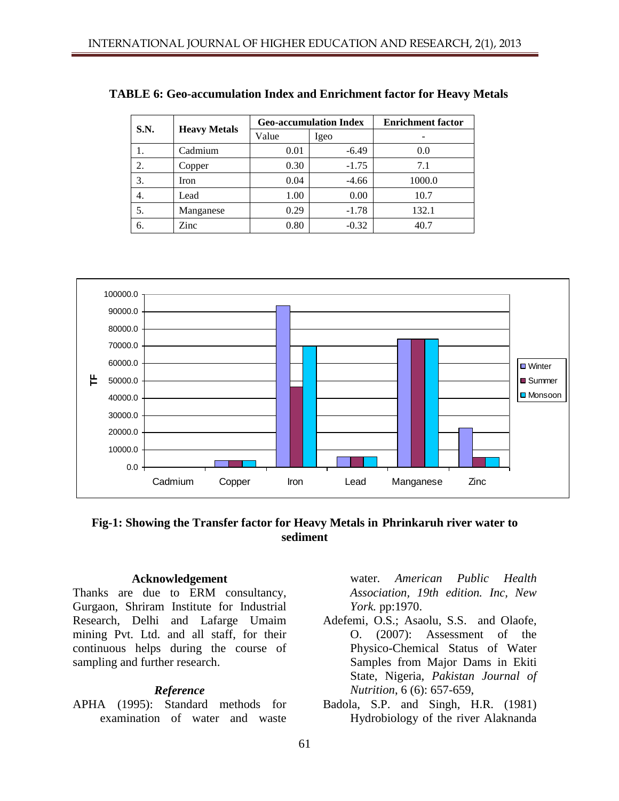| S.N. |                     |       | <b>Geo-accumulation Index</b> | <b>Enrichment</b> factor |  |
|------|---------------------|-------|-------------------------------|--------------------------|--|
|      | <b>Heavy Metals</b> | Value | Igeo                          |                          |  |
| ı.   | Cadmium             | 0.01  | $-6.49$                       | 0.0                      |  |
| 2.   | Copper              | 0.30  | $-1.75$                       | 7.1                      |  |
| 3.   | Iron                | 0.04  | $-4.66$                       | 1000.0                   |  |
| 4.   | Lead                | 1.00  | 0.00                          | 10.7                     |  |
| 5.   | Manganese           | 0.29  | $-1.78$                       | 132.1                    |  |
| 6.   | Zinc                | 0.80  | $-0.32$                       | 40.7                     |  |

**TABLE 6: Geo-accumulation Index and Enrichment factor for Heavy Metals** 



**Fig-1: Showing the Transfer factor for Heavy Metals in Phrinkaruh river water to sediment**

#### **Acknowledgement**

Thanks are due to ERM consultancy, Gurgaon, Shriram Institute for Industrial Research, Delhi and Lafarge Umaim mining Pvt. Ltd. and all staff, for their continuous helps during the course of sampling and further research.

#### *Reference*

APHA (1995): Standard methods for examination of water and waste

water. *American Public Health Association, 19th edition. Inc, New York.* pp:1970.

- Adefemi, O.S.; Asaolu, S.S. and Olaofe, O. (2007): Assessment of the Physico-Chemical Status of Water Samples from Major Dams in Ekiti State, Nigeria, *Pakistan Journal of Nutrition*, 6 (6): 657-659,
- Badola, S.P. and Singh, H.R. (1981) Hydrobiology of the river Alaknanda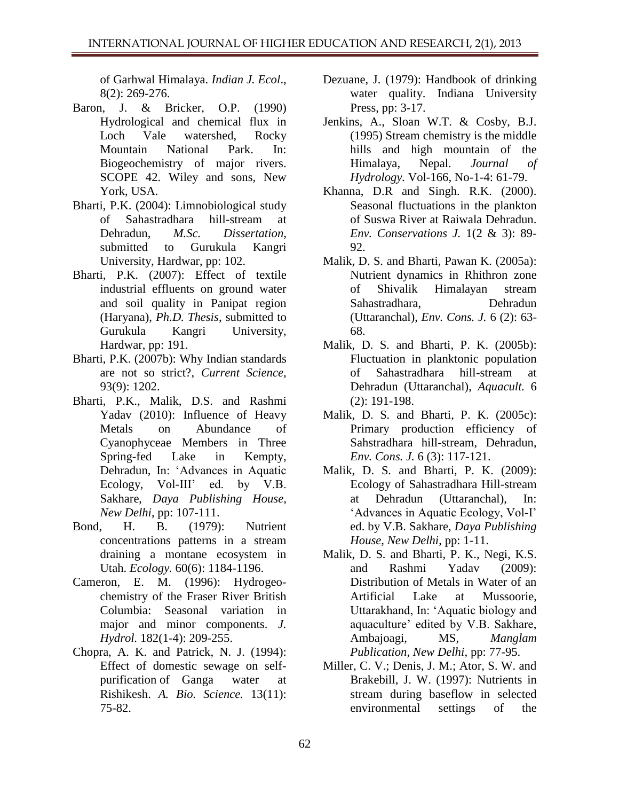of Garhwal Himalaya. *Indian J. Ecol*., 8(2): 269-276.

- Baron, J. & Bricker, O.P. (1990) Hydrological and chemical flux in Loch Vale watershed, Rocky Mountain National Park. In: Biogeochemistry of major rivers. SCOPE 42. Wiley and sons, New York, USA.
- Bharti, P.K. (2004): Limnobiological study of Sahastradhara hill-stream at Dehradun, *M.Sc. Dissertation*, submitted to Gurukula Kangri University, Hardwar, pp: 102.
- Bharti, P.K. (2007): Effect of textile industrial effluents on ground water and soil quality in Panipat region (Haryana), *Ph.D. Thesis*, submitted to Gurukula Kangri University, Hardwar, pp: 191.
- Bharti, P.K. (2007b): Why Indian standards are not so strict?, *Current Science,* 93(9): 1202.
- Bharti, P.K., Malik, D.S. and Rashmi Yadav (2010): Influence of Heavy Metals on Abundance of Cyanophyceae Members in Three Spring-fed Lake in Kempty, Dehradun, In: 'Advances in Aquatic Ecology, Vol-III' ed. by V.B. Sakhare, *Daya Publishing House, New Delhi*, pp: 107-111.
- Bond, H. B. (1979): Nutrient concentrations patterns in a stream draining a montane ecosystem in Utah. *Ecology.* 60(6): 1184-1196.
- Cameron, E. M. (1996): Hydrogeochemistry of the Fraser River British Columbia: Seasonal variation in major and minor components. *J. Hydrol.* 182(1-4): 209-255.
- Chopra, A. K. and Patrick, N. J. (1994): Effect of domestic sewage on selfpurification of Ganga water at Rishikesh. *A. Bio. Science.* 13(11): 75-82.
- Dezuane, J. (1979): Handbook of drinking water quality. Indiana University Press, pp: 3-17.
- Jenkins, A., Sloan W.T. & Cosby, B.J. (1995) Stream chemistry is the middle hills and high mountain of the Himalaya, Nepal. *Journal of Hydrology.* Vol-166, No-1-4: 61-79.
- Khanna, D.R and Singh. R.K. (2000). Seasonal fluctuations in the plankton of Suswa River at Raiwala Dehradun. *Env. Conservations J.* 1(2 & 3): 89- 92.
- Malik, D. S*.* and Bharti, Pawan K. (2005a): Nutrient dynamics in Rhithron zone of Shivalik Himalayan stream Sahastradhara, Dehradun (Uttaranchal), *Env. Cons. J.* 6 (2): 63- 68.
- Malik, D. S*.* and Bharti, P. K. (2005b): Fluctuation in planktonic population of Sahastradhara hill-stream at Dehradun (Uttaranchal), *Aquacult.* 6 (2): 191-198.
- Malik, D. S*.* and Bharti, P. K. (2005c): Primary production efficiency of Sahstradhara hill-stream, Dehradun, *Env. Cons. J.* 6 (3): 117-121.
- Malik, D. S*.* and Bharti, P. K. (2009): Ecology of Sahastradhara Hill-stream at Dehradun (Uttaranchal), In: 'Advances in Aquatic Ecology, Vol-I' ed. by V.B. Sakhare, *Daya Publishing House, New Delhi*, pp: 1-11.
- Malik, D. S*.* and Bharti, P. K., Negi, K.S. and Rashmi Yadav (2009): Distribution of Metals in Water of an Artificial Lake at Mussoorie, Uttarakhand, In: 'Aquatic biology and aquaculture' edited by V.B. Sakhare, Ambajoagi, MS, *Manglam Publication, New Delhi*, pp: 77-95.
- Miller, C. V.; Denis, J. M.; Ator, S. W. and Brakebill, J. W. (1997): Nutrients in stream during baseflow in selected environmental settings of the